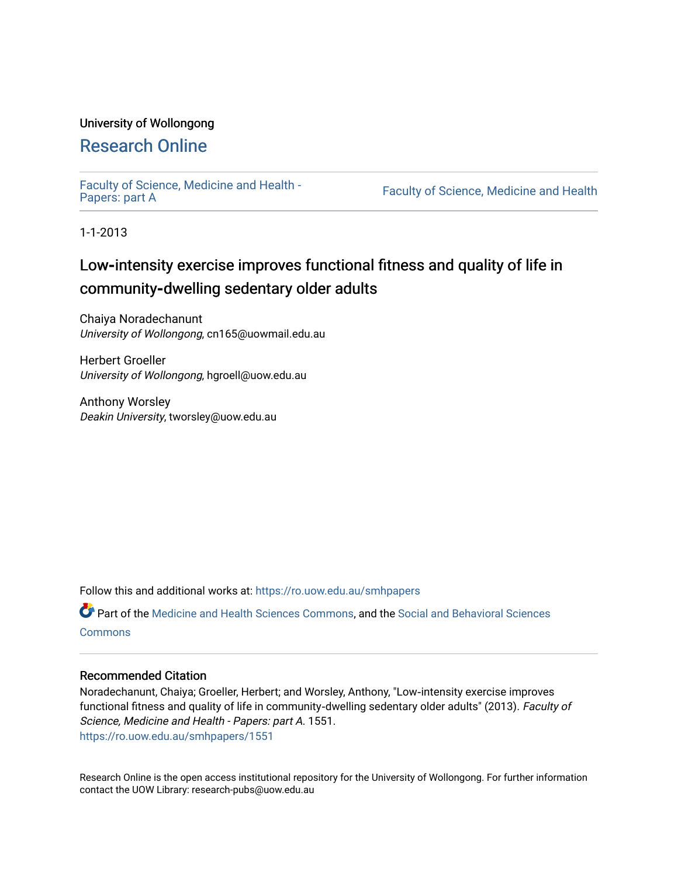### University of Wollongong

# [Research Online](https://ro.uow.edu.au/)

[Faculty of Science, Medicine and Health -](https://ro.uow.edu.au/smhpapers) Papers: part A

Faculty of Science, Medicine and Health

1-1-2013

# Low-intensity exercise improves functional fitness and quality of life in community**‐**dwelling sedentary older adults

Chaiya Noradechanunt University of Wollongong, cn165@uowmail.edu.au

Herbert Groeller University of Wollongong, hgroell@uow.edu.au

Anthony Worsley Deakin University, tworsley@uow.edu.au

Follow this and additional works at: [https://ro.uow.edu.au/smhpapers](https://ro.uow.edu.au/smhpapers?utm_source=ro.uow.edu.au%2Fsmhpapers%2F1551&utm_medium=PDF&utm_campaign=PDFCoverPages) 

Part of the [Medicine and Health Sciences Commons,](http://network.bepress.com/hgg/discipline/648?utm_source=ro.uow.edu.au%2Fsmhpapers%2F1551&utm_medium=PDF&utm_campaign=PDFCoverPages) and the [Social and Behavioral Sciences](http://network.bepress.com/hgg/discipline/316?utm_source=ro.uow.edu.au%2Fsmhpapers%2F1551&utm_medium=PDF&utm_campaign=PDFCoverPages) **[Commons](http://network.bepress.com/hgg/discipline/316?utm_source=ro.uow.edu.au%2Fsmhpapers%2F1551&utm_medium=PDF&utm_campaign=PDFCoverPages)** 

#### Recommended Citation

Noradechanunt, Chaiya; Groeller, Herbert; and Worsley, Anthony, "Low‐intensity exercise improves functional fitness and quality of life in community-dwelling sedentary older adults" (2013). Faculty of Science, Medicine and Health - Papers: part A. 1551. [https://ro.uow.edu.au/smhpapers/1551](https://ro.uow.edu.au/smhpapers/1551?utm_source=ro.uow.edu.au%2Fsmhpapers%2F1551&utm_medium=PDF&utm_campaign=PDFCoverPages)

Research Online is the open access institutional repository for the University of Wollongong. For further information contact the UOW Library: research-pubs@uow.edu.au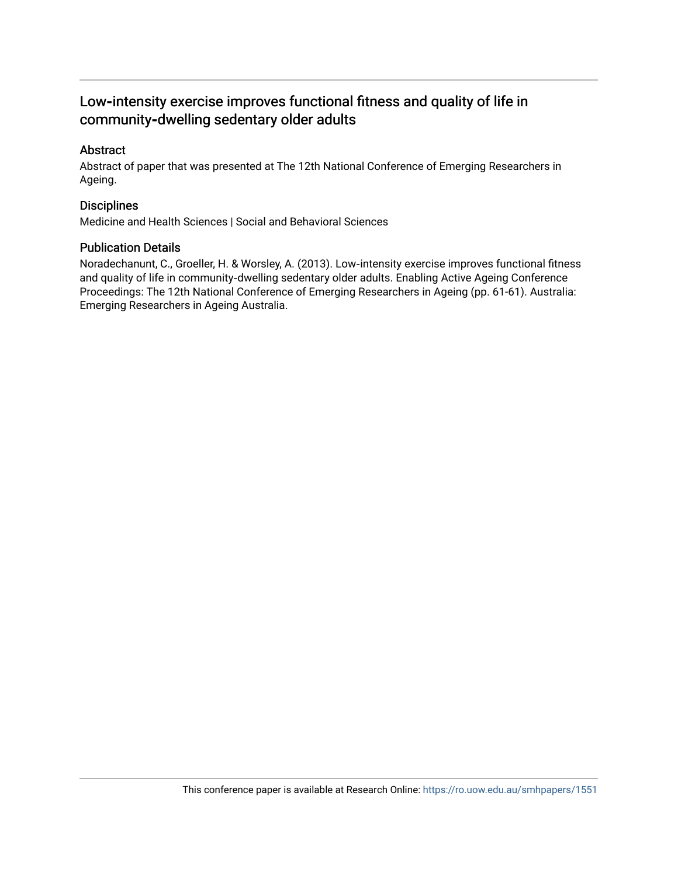### Low-intensity exercise improves functional fitness and quality of life in community**‐**dwelling sedentary older adults

#### Abstract

Abstract of paper that was presented at The 12th National Conference of Emerging Researchers in Ageing.

#### **Disciplines**

Medicine and Health Sciences | Social and Behavioral Sciences

#### Publication Details

Noradechanunt, C., Groeller, H. & Worsley, A. (2013). Low‐intensity exercise improves functional fitness and quality of life in community‐dwelling sedentary older adults. Enabling Active Ageing Conference Proceedings: The 12th National Conference of Emerging Researchers in Ageing (pp. 61-61). Australia: Emerging Researchers in Ageing Australia.